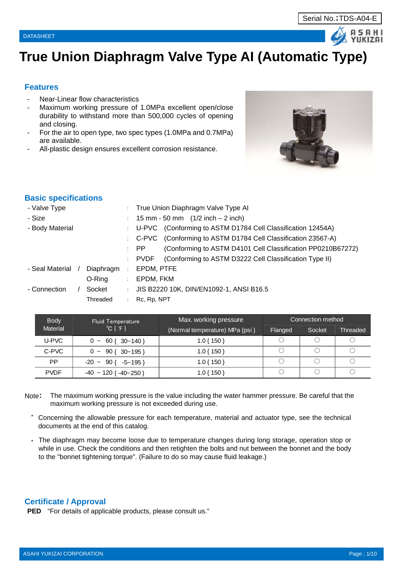## **True Union Diaphragm Valve Type AI (Automatic Type)**

## **Features**

- Near-Linear flow characteristics
- Maximum working pressure of 1.0MPa excellent open/close durability to withstand more than 500,000 cycles of opening and closing.
- For the air to open type, two spec types (1.0MPa and 0.7MPa) are available.
- All-plastic design ensures excellent corrosion resistance.



## **Basic specifications**

|           |                      | True Union Diaphragm Valve Type AI                                             |
|-----------|----------------------|--------------------------------------------------------------------------------|
|           |                      | : $15 \text{ mm} - 50 \text{ mm}$ $(1/2 \text{ inch} - 2 \text{ inch})$        |
|           |                      | : U-PVC (Conforming to ASTM D1784 Cell Classification 12454A)                  |
|           |                      | : C-PVC (Conforming to ASTM D1784 Cell Classification 23567-A)                 |
|           |                      | (Conforming to ASTM D4101 Cell Classification PP0210B67272)<br>$\therefore$ PP |
|           | ÷.                   | (Conforming to ASTM D3222 Cell Classification Type II)<br>PVDF                 |
| Diaphragm | $\ddot{\phantom{a}}$ | EPDM, PTFE                                                                     |
| O-Ring    | ÷                    | EPDM, FKM                                                                      |
| Socket    | $\mathcal{L}$        | JIS B2220 10K, DIN/EN1092-1, ANSI B16.5                                        |
| Threaded  |                      | Rc, Rp, NPT                                                                    |
|           |                      |                                                                                |

| <b>Body</b> | Fluid Temperature                 | Max. working pressure           |         | Connection method |           |
|-------------|-----------------------------------|---------------------------------|---------|-------------------|-----------|
| Material    | $^{\circ}C$ { $^{\circ}F$ }       | (Normal temperature) MPa {psi } | Flanged | Socket            | 'Threaded |
| U-PVC       | $0 \sim 60$ { 30~140 }            | 1.0 { 150 }                     |         |                   |           |
| C-PVC       | $90 \{ 30 - 195 \}$<br>$0 -$      | $1.0\{150\}$                    |         |                   |           |
| РP          | $-20 \sim 90$ { $-5 \sim 195$ }   | $1.0\{150\}$                    |         |                   |           |
| <b>PVDF</b> | $-40 \sim 120$ { $-40 \sim 250$ } | I.O { 150 ]                     |         |                   |           |

- Note: The maximum working pressure is the value including the water hammer pressure. Be careful that the maximum working pressure is not exceeded during use.
	- \* Concerning the allowable pressure for each temperature, material and actuator type, see the technical documents at the end of this catalog.
	- \* The diaphragm may become loose due to temperature changes during long storage, operation stop or while in use. Check the conditions and then retighten the bolts and nut between the bonnet and the body to the "bonnet tightening torque". (Failure to do so may cause fluid leakage.)

## **Certificate / Approval**

**PED** "For details of applicable products, please consult us."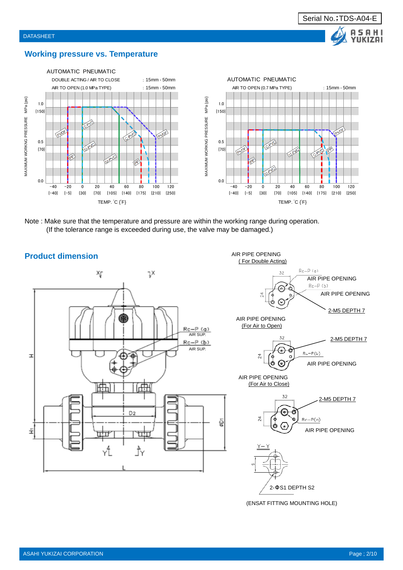

## **Working pressure vs. Temperature**



Note : Make sure that the temperature and pressure are within the working range during operation. (If the tolerance range is exceeded during use, the valve may be damaged.)



(ENSAT FITTING MOUNTING HOLE)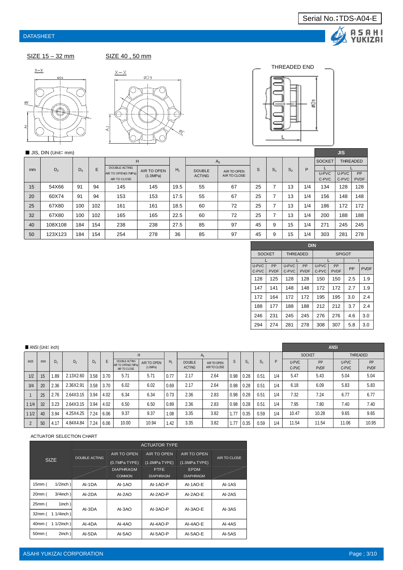



**JIS** 

г

SIZE 15 – 32 mm<br>SIZE 40, 50 mm









## ■ JIS, DIN (Unit: mm)

|               | $\blacksquare$ $\cup$ $\cup$ , $\cup$ $\blacksquare$ $\cup$ $\blacksquare$ |       |     |                      |             |       |               |              |    |                |       |     |               | <b>ALC: YES</b>   |             |
|---------------|----------------------------------------------------------------------------|-------|-----|----------------------|-------------|-------|---------------|--------------|----|----------------|-------|-----|---------------|-------------------|-------------|
|               |                                                                            |       |     | Н                    |             |       | $A_3$         |              |    |                |       |     | <b>SOCKET</b> | <b>THREADED</b>   |             |
| <sub>mm</sub> | D <sub>2</sub>                                                             | $D_3$ | E   | <b>DOUBLE ACTING</b> | AIR TO OPEN | $H_1$ | <b>DOUBLE</b> | AIR TO OPEN  | S  | S <sub>1</sub> | $S_2$ | P   |               |                   |             |
|               |                                                                            |       |     | AIR TO OPEN(0.7MPa)  | (1.0MPa)    |       | <b>ACTING</b> | AIR TO CLOSE |    |                |       |     | U-PVC         | U-PVC<br>$C$ -PVC | <b>PP</b>   |
|               |                                                                            |       |     | AIR TO CLOSE         |             |       |               |              |    |                |       |     | C-PVC         |                   | <b>PVDF</b> |
| 15            | 54X66                                                                      | 91    | 94  | 145                  | 145         | 19.5  | 55            | 67           | 25 | ⇁              | 13    | 1/4 | 134           | 128               | 128         |
| 20            | 60X74                                                                      | 91    | 94  | 153                  | 153         | 17.5  | 55            | 67           | 25 | ⇁              | 13    | 1/4 | 156           | 148               | 148         |
| 25            | 67X80                                                                      | 100   | 102 | 161                  | 161         | 18.5  | 60            | 72           | 25 | ⇁              | 13    | 1/4 | 186           | 172               | 172         |
| 32            | 67X80                                                                      | 100   | 102 | 165                  | 165         | 22.5  | 60            | 72           | 25 | ⇁              | 13    | 1/4 | 200           | 188               | 188         |
| 40            | 108X108                                                                    | 184   | 154 | 238                  | 238         | 27.5  | 85            | 97           | 45 | 9              | 15    | 1/4 | 271           | 245               | 245         |
| 50            | 123X123                                                                    | 184   | 154 | 254                  | 278         | 36    | 85            | 97           | 45 | 9              | 15    | 1/4 | 303           | 281               | 278         |

|                | <b>DIN</b>                                        |                |                   |                |                   |     |             |  |  |  |  |  |  |
|----------------|---------------------------------------------------|----------------|-------------------|----------------|-------------------|-----|-------------|--|--|--|--|--|--|
|                | <b>SOCKET</b><br><b>THREADED</b><br><b>SPIGOT</b> |                |                   |                |                   |     |             |  |  |  |  |  |  |
|                |                                                   |                |                   |                |                   |     |             |  |  |  |  |  |  |
| U-PVC<br>C-PVC | PP<br><b>PVDF</b>                                 | U-PVC<br>C-PVC | PP<br><b>PVDF</b> | U-PVC<br>C-PVC | PP<br><b>PVDF</b> | PP  | <b>PVDF</b> |  |  |  |  |  |  |
| 128            | 125                                               | 128            | 128               | 150            | 150               | 2.5 | 1.9         |  |  |  |  |  |  |
| 147            | 141                                               | 148            | 148               | 172            | 172               | 2.7 | 1.9         |  |  |  |  |  |  |
| 172            | 164                                               | 172            | 172               | 195            | 195               | 3.0 | 2.4         |  |  |  |  |  |  |
| 188            | 177                                               | 188            | 188               | 212            | 212               | 3.7 | 2.4         |  |  |  |  |  |  |
| 246            | 231                                               | 245            | 245               | 276            | 276               | 4.6 | 3.0         |  |  |  |  |  |  |
| 294            | 274                                               | 281            | 278               | 308            | 307               | 5.8 | 3.0         |  |  |  |  |  |  |

|      |    | ANSI (Unit: inch) |                |       |      |                                                      |                         |      |                                |                             |      |                |                |     | <b>ANSI</b>    |                   |                |                   |  |
|------|----|-------------------|----------------|-------|------|------------------------------------------------------|-------------------------|------|--------------------------------|-----------------------------|------|----------------|----------------|-----|----------------|-------------------|----------------|-------------------|--|
|      |    |                   |                |       |      | н                                                    |                         |      |                                | $A_3$                       |      |                |                |     | <b>SOCKET</b>  |                   |                | THREADED          |  |
| inch | mm | D <sub>1</sub>    | D <sub>2</sub> | $D_3$ | F    | DOUBLE ACTING<br>AIR TO OPEN(0.7MPa)<br>AIR TO CLOSE | AIR TO OPEN<br>(1.0MPa) | Н,   | <b>DOUBLE</b><br><b>ACTING</b> | AIR TO OPEN<br>AIR TO CLOSE | S    | S <sub>1</sub> | S <sub>2</sub> | P   | U-PVC<br>C-PVC | PP<br><b>PVDF</b> | U-PVC<br>C-PVC | PP<br><b>PVDF</b> |  |
| 1/2  | 15 | 1.89              | 2.13X2.60      | 3.58  | 3.70 | 5.71                                                 | 5.71                    | 0.77 | 2.17                           | 2.64                        | 0.98 | 0.28           | 0.51           | 1/4 | 5.47           | 5.43              | 5.04           | 5.04              |  |
| 3/4  | 20 | 2.36              | 2.36X2.91      | 3.58  | 3.70 | 6.02                                                 | 6.02                    | 0.69 | 2.17                           | 2.64                        | 0.98 | 0.28           | 0.51           | 1/4 | 6.18           | 6.09              | 5.83           | 5.83              |  |
|      | 25 | 2.76              | 2.64X3.15      | 3.94  | 4.02 | 6.34                                                 | 6.34                    | 0.73 | 2.36                           | 2.83                        | 0.98 | 0.28           | 0.51           | 1/4 | 7.32           | 7.24              | 6.77           | 6.77              |  |
| 11/4 | 32 | 3.23              | 2.64X3.15      | 3.94  | 4.02 | 6.50                                                 | 6.50                    | 0.89 | 2.36                           | 2.83                        | 0.98 | 0.28           | 0.51           | 1/4 | 7.95           | 7.80              | 7.40           | 7.40              |  |
| 11/2 | 40 | 3.94              | 4.25X4.25      | 7.24  | 6.06 | 9.37                                                 | 9.37                    | 1.08 | 3.35                           | 3.82                        | 1.77 | 0.35           | 0.59           | 1/4 | 10.47          | 10.28             | 9.65           | 9.65              |  |
|      | 50 | 4.17              | 4.84X4.84      | 7.24  | 6.06 | 10.00                                                | 10.94                   | 1.42 | 3.35                           | 3.82                        | 1.77 | 0.35           | 0.59           | 1/4 | 11.54          | 11.54             | 11.06          | 10.95             |  |

#### ACTUATOR SELECTION CHART

|                                 |                      | <b>ACTUATOR TYPE</b> |                    |                  |              |  |  |  |  |  |  |  |  |
|---------------------------------|----------------------|----------------------|--------------------|------------------|--------------|--|--|--|--|--|--|--|--|
|                                 | <b>DOUBLE ACTING</b> | AIR TO OPEN          | <b>AIR TO OPEN</b> | AIR TO OPEN      | AIR TO CLOSE |  |  |  |  |  |  |  |  |
| <b>SIZE</b>                     |                      | $(0.7MPa$ TYPE)      | (1.0MPa TYPE)      | (1.0MPa TYPE)    |              |  |  |  |  |  |  |  |  |
|                                 |                      | <b>DIAPHRAGM</b>     | <b>PTFE</b>        | <b>EPDM</b>      |              |  |  |  |  |  |  |  |  |
|                                 |                      | <b>COMMON</b>        | <b>DIAPHRAGM</b>   | <b>DIAPHRAGM</b> |              |  |  |  |  |  |  |  |  |
| $1/2$ inch)<br>15mm (           | AI-1DA               | AI-1AO               | AI-1AO-P           | AI-1AO-E         | AI-1AS       |  |  |  |  |  |  |  |  |
| $3/4$ inch)<br>20mm (           | AI-2DA               | AI-2AO               | AI-2AO-P           | AI-2AO-E         | AI-2AS       |  |  |  |  |  |  |  |  |
| 1inch)<br>25mm (                | AI-3DA               | AI-3AO               |                    | AI-3AO-E         | AI-3AS       |  |  |  |  |  |  |  |  |
| $1/4$ inch)<br>$32mm$ $($<br>1. |                      |                      | AI-3AO-P           |                  |              |  |  |  |  |  |  |  |  |
| $11/2$ inch)<br>40mm (          | AI-4DA               | AI-4AO               | AI-4AO-P           | AI-4AO-E         | AI-4AS       |  |  |  |  |  |  |  |  |
| 50mm (<br>2inch)                | AI-5DA               | AI-5AO               | AI-5AO-P           | AI-5AO-E         | AI-5AS       |  |  |  |  |  |  |  |  |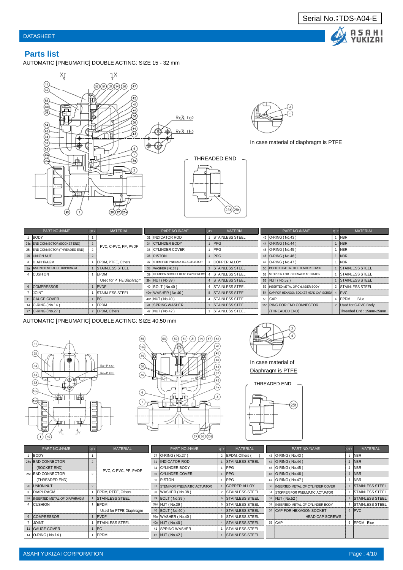

## **Parts list**

AUTOMATIC [PNEUMATIC] DOUBLE ACTING: SIZE 15 - 32 mm





#### In case material of diaphragm is PTFE

| PART NO./NAME                    | QTY | <b>MATERIAL</b>         |    | PART NO./NAME                     | <b>QTY</b> | <b>MATERIAL</b>         |    | PART NO./NAME                            | <b>QTY</b> | <b>MATERIAL</b>          |
|----------------------------------|-----|-------------------------|----|-----------------------------------|------------|-------------------------|----|------------------------------------------|------------|--------------------------|
| BODY                             |     |                         | 31 | INDICATOR ROD                     |            | <b>ISTAINLESS STEEL</b> |    | 43 O-RING (No.43)                        |            | <b>NBR</b>               |
| 25s END CONNECTOR (SOCKET END)   |     | PVC, C-PVC, PP, PVDF    |    | 34 CYLINDER BODY                  |            | <b>PPG</b>              |    | 44 O-RING (No.44)                        |            | $1$ NBR                  |
| 25t END CONNECTOR (THREADED END) |     |                         |    | 35 CYLINDER COVER                 |            | <b>PPG</b>              |    | 45   O-RING (No.45)                      |            | <b>NBR</b>               |
| 26 UNION NUT                     |     |                         |    | 36 PISTON                         |            | <b>PPG</b>              |    | 46   O-RING (No.46)                      |            | $1$ NBR                  |
| <b>DIAPHRAGM</b>                 |     | EPDM, PTFE, Others      |    | 37 ISTEM FOR PNEUMATIC ACTUATOR   |            | <b>COPPER ALLOY</b>     |    | 47   O-RING (No.47)                      |            | <b>INBR</b>              |
| 3a   INSERTED METAL OF DIAPHRAGM |     | <b>ISTAINLESS STEEL</b> |    | 38   WASHER ( No.38 )             |            | 2 STAINLESS STEEL       |    | 50 INSERTED METAL OF CYLINDER COVER      |            | 1 STAINLESS STEEL        |
| 4 CUSHION                        |     | <b>EPDM</b>             |    | 39 HEXAGON SOCKET HEAD CAP SCREWS |            | <b>ISTAINLESS STEEL</b> | 51 | <b>ISTOPPER FOR PNEUMATIC ACTUATOR</b>   |            | <b>ISTAINLESS STEEL</b>  |
|                                  |     | Used for PTFE Diaphragm |    | 39n NUT (No.39)                   |            | <b>STAINLESS STEEL</b>  |    | 52 NUT (No.52)                           |            | <b>STAINLESS STEEL</b>   |
| 6 COMPRESSOR                     |     | PVDF                    |    | 40 BOLT (No.40)                   |            | <b>ISTAINLESS STEEL</b> |    | 53 INSERTED METAL OF CYLINDER BODY       |            | 2 STAINLESS STEEL        |
| <b>JOINT</b>                     |     | <b>STAINLESS STEEL</b>  |    | 40w WASHER (No.40)                |            | 8 STAINLESS STEEL       |    | 54 CAP FOR HEXAGON SOCKET HEAD CAP SCREW |            | 4 PVC                    |
| 11 GAUGE COVER                   |     | PC                      |    | 40n NUT (No.40)                   |            | <b>ISTAINLESS STEEL</b> |    | 55 CAP                                   |            | 4 EPDM<br>Blue           |
| 14 <b>O-RING</b> (No.14)         |     | EPDM                    |    | 41 SPRING WASHER                  |            | <b>ISTAINLESS STEEL</b> |    | 25r RING FOR END CONNECTOR               |            | 2   Used for C-PVC Body. |
| 27   O-RING (No.27)              |     | 2 EPDM, Others          |    | 42   NUT (No.42)                  |            | <b>ISTAINLESS STEEL</b> |    | (THREADED END)                           |            | Threaded End: 15mm-25mm  |

 $(25t)(25r)$ 

AUTOMATIC [PNEUMATIC] DOUBLE ACTING: SIZE 40,50 mm







In case material of Diaphragm is PTFE





| PART NO./NAME                  | <b>QTY</b> | <b>MATERIAL</b>         | PART NO./NAME                  | <b>QTY</b> | <b>MATERIAL</b>         | PART NO./NAME                       | <b>QTY</b> | <b>MATERIAL</b>        |
|--------------------------------|------------|-------------------------|--------------------------------|------------|-------------------------|-------------------------------------|------------|------------------------|
| BODY                           |            |                         | 27 O-RING (No.27)              |            | EPDM, Others (          | 43 <b>O-RING</b> (No.43)            |            | <b>NBR</b>             |
| 25s END CONNECTOR              |            |                         | 31 INDICATOR ROD               |            | <b>STAINLESS STEEL</b>  | 44 O-RING (No.44)                   |            | <b>NBR</b>             |
| (SOCKET END)                   |            | PVC, C-PVC, PP, PVDF    | 34 CYLINDER BODY               |            | <b>IPPG</b>             | 45 O-RING (No.45)                   |            | <b>NBR</b>             |
| 25t IEND CONNECTOR             |            |                         | 35 CYLINDER COVER              |            | <b>IPPG</b>             | 46 O-RING (No.46)                   |            | <b>NBR</b>             |
| (THREADED END)                 |            |                         | 36 PISTON                      |            | <b>IPPG</b>             | 47 <b>O-RING</b> (No.47)            |            | <b>NBR</b>             |
| 26 JUNION NUT                  |            |                         | 37 STEM FOR PNEUMATIC ACTUATOR |            | <b>COPPER ALLOY</b>     | 50 INSERTED METAL OF CYLINDER COVER |            | <b>STAINLESS STEEL</b> |
| <b>DIAPHRAGM</b>               |            | EPDM, PTFE, Others      | 38   WASHER ( No.38 )          |            | <b>STAINLESS STEEL</b>  | 51 STOPPER FOR PNEUMATIC ACTUATOR   |            | <b>STAINLESS STEEL</b> |
| 3a INSERTED METAL OF DIAPHRAGM |            | <b>ISTAINLESS STEEL</b> | 39 BOLT (No.39)                |            | 6 STAINLESS STEEL       | 52 NUT (No.52)                      |            | <b>STAINLESS STEEL</b> |
| <b>CUSHION</b>                 |            | <b>IEPDM</b>            | 39n NUT (No.39)                |            | 6 STAINLESS STEEL       | 53 IINSERTED METAL OF CYLINDER BODY |            | 2 STAINLESS STEEL      |
|                                |            | Used for PTFE Diaphragm | 40   BOLT (No.40)              |            | 4 STAINLESS STEEL       | 54 CAP FOR HEXAGON SOCKET           |            | 6 PVC                  |
| 6 COMPRESSOR                   |            | <b>IPVDF</b>            | 40w WASHER (No.40)             | 8          | <b>STAINLESS STEEL</b>  | <b>HEAD CAP SCREWS</b>              |            |                        |
| <b>JOINT</b>                   |            | <b>ISTAINLESS STEEL</b> | 40n NUT (No.40)                |            | 4 STAINLESS STEEL       | 55 CAP                              |            | 6 EPDM Blue            |
| 11 GAUGE COVER                 |            | <b>IPC</b>              | <b>ISPRING WASHER</b>          |            | <b>ISTAINLESS STEEL</b> |                                     |            |                        |
| 14 <b>O-RING</b> (No.14)       |            | EPDM                    | 42 NUT (No.42)                 |            | <b>STAINLESS STEEL</b>  |                                     |            |                        |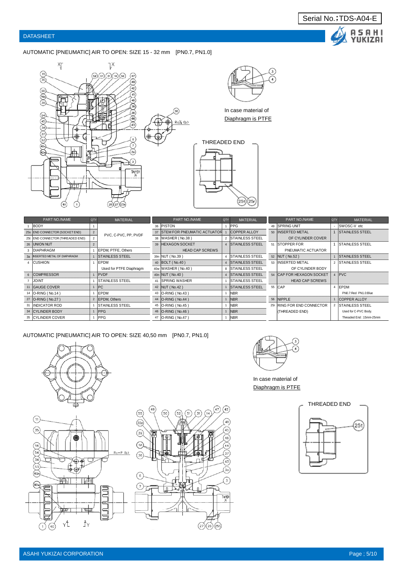A S A H I<br>YUKIZAI

#### AUTOMATIC [PNEUMATIC] AIR TO OPEN: SIZE 15 - 32 mm [PN0.7, PN1.0]





In case material of Diaphragm is PTFE

# THREADED END  $(25t)(25r)$

| PART NO./NAME                    | <b>QTY</b>     | <b>MATERIAL</b>                | PART NO./NAME                  | QTY | <b>MATERIAL</b>          | PART NO./NAME              | <b>QTY</b>     | <b>MATERIAL</b>         |
|----------------------------------|----------------|--------------------------------|--------------------------------|-----|--------------------------|----------------------------|----------------|-------------------------|
| <b>BODY</b>                      |                |                                | 36 PISTON                      |     | <b>PPG</b>               | 49 SPRING UNIT             |                | <b>ISWOSC-V</b> etc     |
| 25s END CONNECTOR (SOCKET END)   | $\overline{2}$ | PVC, C-PVC, PP, PVDF           | 37 STEM FOR PNEUMATIC ACTUATOR |     | <b>COPPER ALLOY</b>      | 50 INSERTED METAL          |                | <b>ISTAINLESS STEEL</b> |
| 25t END CONNECTOR (THREADED END) |                |                                | 38 WASHER (No.38)              |     | 2 STAINLESS STEEL        | OF CYLINDER COVER          |                |                         |
| 26 UNION NUT                     |                |                                | 39 HEXAGON SOCKET              |     | 4 STAINLESS STEEL        | 51 STOPPER FOR             |                | <b>ISTAINLESS STEEL</b> |
| <b>DIAPHRAGM</b>                 |                | EPDM, PTFE, Others             | <b>HEAD CAP SCREWS</b>         |     |                          | PNEUMATIC ACTUATOR         |                |                         |
| 3a INSERTED METAL OF DIAPHRAGM   |                | <b>ISTAINLESS STEEL</b>        | 39n NUT (No.39)                |     | 4 <b>STAINLESS STEEL</b> | 52   NUT (No.52)           |                | <b>ISTAINLESS STEEL</b> |
| <b>ICUSHION</b>                  |                | EPDM                           | 40   BOLT (No.40)              |     | 4 STAINLESS STEEL        | 53 IINSERTED METAL         | $\mathfrak{p}$ | <b>ISTAINLESS STEEL</b> |
|                                  |                | Used for PTFE Diaphragm        | 40w WASHER (No.40)             |     | 8 STAINLESS STEEL        | OF CYLINDER BODY           |                |                         |
| 6 COMPRESSOR                     |                | <b>PVDF</b>                    | 40n NUT (No.40)                |     | 4 STAINLESS STEEL        | 54 CAP FOR HEXAGON SOCKET  | $\overline{4}$ | PVC                     |
| <b>JOINT</b>                     |                | <b>STAINLESS STEEL</b>         | 41 SPRING WASHER               |     | <b>STAINLESS STEEL</b>   | <b>HEAD CAP SCREWS</b>     |                |                         |
| 11 GAUGE COVER                   |                | PC                             | 42 NUT (No.42)                 |     | <b>STAINLESS STEEL</b>   | 55 CAP                     | $\Delta$       | <b>EPDM</b>             |
| 14 <b>O-RING</b> ( No.14 )       |                | <b>EPDM</b>                    | 43 <b>O-RING</b> ( No.43 )     |     | <b>INBR</b>              |                            |                | PN0.7:Red PN1.0:Blue    |
| 27 <b>O-RING</b> (No.27)         |                | 2 EPDM, Others                 | 44 <b>O-RING</b> (No.44)       |     | <b>INBR</b>              | 56 NIPPLE                  |                | <b>ICOPPER ALLOY</b>    |
| <b>IINDICATOR ROD</b>            |                | <b><i>ISTAINLESS STEEL</i></b> | 45 <b>O-RING</b> (No.45)       |     | <b>INBR</b>              | 25r RING FOR END CONNECTOR |                | <b>ISTAINLESS STEEL</b> |
| 34 CYLINDER BODY                 |                | <b>PPG</b>                     | 46 <b>O-RING</b> (No.46)       |     | <b>INBR</b>              | (THREADED END)             |                | Used for C-PVC Body.    |
| 35 CYLINDER COVER                |                | <b>IPPG</b>                    | 47   O-RING (No.47)            |     | <b>INBR</b>              |                            |                | Threaded End: 15mm-25mm |

AUTOMATIC [PNEUMATIC] AIR TO OPEN: SIZE 40,50 mm [PN0.7, PN1.0]







In case material of Diaphragm is PTFE

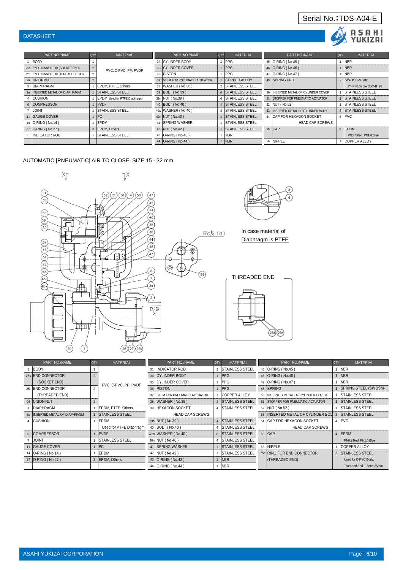#### DATASHEET

#### QTY| MATERIAL | PART NO./NAME |QTY| MATERIAL | PART NO./NAME |QTY| MATERIAL 1 BODY 1 | 1 | 34 | CYLINDER BODY | 1 | PPG 45 | O-RING ( No.45 ) | 1 | NBR 25s END CONNECTOR (SOCKET END) 2 BVC C BVC BB VIDE 35 CYLINDER COVER 1 PPG 46 O-RING ( No.46 ) 1 NBR 25t END CONNECTOR (THREADED END) 2<br>
2 37 STEM FOR PNEUMATIC ACTUATOR 1 COPPER ALLOY 49 SPRING UNIT 2 37 STEM FOR PNEUMATIC ACTUATOR 1 COPPER ALLOY 49 SPRING UNIT - SWOSC-V etc. 3 DIAPHRAGM 1 EPDM, PTFE, Others 38 WASHER ( No.38 ) 2 STAINLESS STEEL 2 (PN1.0):SWOSC-B et 3a INSERTED METAL OF DIAPHRAGM 1 STAINLESS STEEL 39 BOLT ( No.39 ) 6 STAINLESS STEEL 50 INSERTED METAL OF CYLINDER COVER 1 STAINLESS STEEL 4 CUSHION 1 EPDM Used for PTFE Diaphragm 39n NUT ( No.39 ) 6 STAINLESS STEEL 51 STOPPER FOR PNEUMATIC ACTUATOR 1 STAINLESS STEEL 6 COMPRESSOR 1 PVDF 4 STAINLESS STEEL 52 NUT ( No.52 ) 1 STAINLESS STEEL 4 STAINLESS STEEL 52 NUT ( No.52 ) 1 STAINLESS STEEL 7 JOINT 1 STAINLESS STEEL 40w WASHER ( No.40 ) 8 STAINLESS STEEL 53 INSERTED METAL OF CYLINDER BODY 2 STAINLESS STEEL 11 GAUGE COVER 1 PC 40n NUT ( No.40 ) 4 STAINLESS STEEL 54 CAP FOR HEXAGON SOCKET 6 PVC 14 O-RING ( No.14 ) 1 | EPDM 41 SPRING WASHER 1 STAINLESS STEEL HEAD CAP SCREWS 27 O-RING ( No.27 ) 2 EPDM, Others 42 NUT ( No.42 ) 1 STAINLESS STEEL 55 CAP 6 EPDM 31 INDICATOR ROD 1 STAINLESS STEEL 43 O-RING ( No.43 ) 1 NBR PN0.7:Red PN1.0:Blue 44 O-RING (No.44) 1 NBR 56 NIPPLE 1 COPPER ALLOY PART NO./NAME and a material part no material part no material part no material PVC, C-PVC, PP, PVDF

#### AUTOMATIC [PNEUMATIC] AIR TO CLOSE: SIZE 15 - 32 mm





Serial No.;TDS-A04-E

Δ

**ASAHI** YUKIZAI

In case material of Diaphragm is PTFE

THREADED END



| PART NO./NAME                  | QTY | <b>MATERIAL</b>         | PART NO./NAME                       | QTY            | <b>MATERIAL</b>         |    | PART NO./NAME                          | <b>QTY</b> | <b>MATERIAL</b>         |
|--------------------------------|-----|-------------------------|-------------------------------------|----------------|-------------------------|----|----------------------------------------|------------|-------------------------|
| <b>BODY</b>                    |     |                         | <b>INDICATOR ROD</b>                |                | <b>ISTAINLESS STEEL</b> |    | 45 <b>O-RING</b> (No.45)               |            | <b>INBR</b>             |
| 25s END CONNECTOR              |     |                         | <b>CYLINDER BODY</b>                |                | <b>PPG</b>              |    | 46   O-RING (No.46)                    |            | <b>NBR</b>              |
| (SOCKET END)                   |     | PVC, C-PVC, PP, PVDF    | 35 CYLINDER COVER                   |                | <b>PPG</b>              |    | 47   O-RING (No.47)                    |            | <b>NBR</b>              |
| 25t <b>END CONNECTOR</b>       |     |                         | 36 PISTON                           |                | <b>PPG</b>              |    | 48 SPRING                              |            | SPRING STEEL (SWOSM-    |
| (THREADED END)                 |     |                         | <b>ISTEM FOR PNEUMATIC ACTUATOR</b> |                | <b>COPPER ALLOY</b>     |    | 50 INSERTED METAL OF CYLINDER COVER    |            | <b>STAINLESS STEEL</b>  |
| 26 UNION NUT                   |     |                         | 38   WASHER (No.38)                 |                | 2 ISTAINLESS STEEL      | 51 | <b>ISTOPPER FOR PNEUMATIC ACTUATOR</b> |            | <b>STAINLESS STEEL</b>  |
| <b>DIAPHRAGM</b>               |     | EPDM, PTFE, Others      | 39 HEXAGON SOCKET                   |                | <b>ISTAINLESS STEEL</b> |    | 52 NUT (No.52)                         |            | <b>STAINLESS STEEL</b>  |
| 3a INSERTED METAL OF DIAPHRAGM |     | <b>STAINLESS STEEL</b>  | <b>HEAD CAP SCREWS</b>              |                |                         |    | 53 INSERTED METAL OF CYLINDER BOD      |            | <b>STAINLESS STEEL</b>  |
| <b>CUSHION</b>                 |     | EPDM                    | 39n   NUT (No.39)                   |                | 4 ISTAINLESS STEEL      |    | 54 ICAP FOR HEXAGON SOCKET             |            | 4 PVC                   |
|                                |     | Used for PTFE Diaphragm | 40 BOLT (No.40)                     | $\overline{4}$ | <b>STAINLESS STEEL</b>  |    | <b>HEAD CAP SCREWS</b>                 |            |                         |
| 6 COMPRESSOR                   |     | <b>IPVDF</b>            | 40w   WASHER ( No.40 )              |                | 8 STAINLESS STEEL       |    | 55 CAP                                 |            | 4 EPDM                  |
| <b>JOINT</b>                   |     | <b>STAINLESS STEEL</b>  | 40n   NUT (No.40)                   |                | <b>ISTAINLESS STEEL</b> |    |                                        |            | PN0.7:Red PN1.0:Blue    |
| 11 GAUGE COVER                 |     | PC                      | 41 ISPRING WASHER                   |                | <b>STAINLESS STEEL</b>  |    | 56 NIPPLE                              |            | <b>COPPER ALLOY</b>     |
| 14   O-RING (No.14)            |     | EPDM                    | 42   NUT (No.42)                    |                | <b>STAINLESS STEEL</b>  |    | 25r RING FOR END CONNECTOR             |            | 2 STAINLESS STEEL       |
| 27 O-RING (No.27)              |     | 2 EPDM, Others          | 43   O-RING (No.43)                 |                | <b>INBR</b>             |    | (THREADED END)                         |            | Used for C-PVC Body.    |
|                                |     |                         | 44   O-RING (No.44)                 |                | NBR                     |    |                                        |            | Threaded End: 15mm-25mm |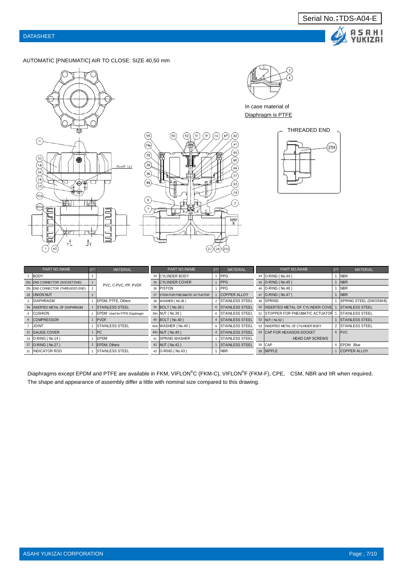



#### AUTOMATIC [PNEUMATIC] AIR TO CLOSE: SIZE 40,50 mm







In case material of Diaphragm is PTFE



| PART NO./NAME                    | QTY            | <b>MATERIAL</b>              | PART NO./NAME                   | <b>QTY</b> | <b>MATERIAL</b>           |    | PART NO./NAME                      | <b>QTY</b> | <b>MATERIAL</b>        |
|----------------------------------|----------------|------------------------------|---------------------------------|------------|---------------------------|----|------------------------------------|------------|------------------------|
| BODY                             |                |                              | 34 CYLINDER BODY                |            | <b>PPG</b>                |    | 44   O-RING (No.44)                |            | <b>NBR</b>             |
| 25s END CONNECTOR (SOCKET END)   | $\overline{2}$ | PVC, C-PVC, PP, PVDF         | 35 CYLINDER COVER               |            | <b>IPPG</b>               |    | 45 O-RING (No.45)                  |            | 1 NBR                  |
| 25t END CONNECTOR (THREADED END) |                |                              | 36 PISTON                       |            | <b>PPG</b>                |    | 46   O-RING (No.46)                |            | <b>NBR</b>             |
| 26 UNION NUT                     |                |                              | 37 ISTEM FOR PNEUMATIC ACTUATOR |            | <b>COPPER ALLOY</b>       |    | 47   O-RING (No.47)                |            | <b>NBR</b>             |
| 3 DIAPHRAGM                      |                | <b>IEPDM. PTFE. Others</b>   | 38   WASHER ( No.38 )           |            | 2 STAINLESS STEEL         | 48 | <b>ISPRING</b>                     |            | SPRING STEEL (SWOSM-B) |
| 3a INSERTED METAL OF DIAPHRAGM   |                | <b>ISTAINLESS STEEL</b>      | 39 BOLT (No.39)                 |            | 6 STAINLESS STEEL         |    | 50 INSERTED METAL OF CYLINDER COVE |            | <b>STAINLESS STEEL</b> |
| <b>CUSHION</b>                   |                | EPDM Used for PTFE Diaphragm | 39n NUT (No.39)                 | 6          | <b>STAINLESS STEEL</b>    |    | 51 ISTOPPER FOR PNEUMATIC ACTUATOR |            | <b>STAINLESS STEEL</b> |
| 6 COMPRESSOR                     |                | <b>PVDF</b>                  | 40 BOLT (No.40)                 |            | 4 STAINLESS STEEL         |    | 52 NUT (No.52)                     |            | 1 STAINLESS STEEL      |
| <b>JOINT</b>                     |                | <b>ISTAINLESS STEEL</b>      | 40w WASHER (No.40)              |            | 8 <b>ISTAINLESS STEEL</b> |    | 53 INSERTED METAL OF CYLINDER BODY |            | 2 STAINLESS STEEL      |
| 11 GAUGE COVER                   |                | IPC                          | 40n NUT (No.40)                 |            | <b>STAINLESS STEEL</b>    |    | 54 CAP FOR HEXAGON SOCKET          |            | 6 PVC                  |
| 14   O-RING (No.14)              |                | <b>LEPDM</b>                 | 41 ISPRING WASHER               |            | <b>STAINLESS STEEL</b>    |    | <b>HEAD CAP SCREWS</b>             |            |                        |
| 27 O-RING (No.27)                |                | 2 EPDM, Others               | 42   NUT (No.42)                |            | <b>STAINLESS STEEL</b>    |    | 55 CAP                             |            | 6 EPDM Blue            |
| <b>INDICATOR ROD</b>             |                | <b>ISTAINLESS STEEL</b>      | 43   O-RING (No.43)             |            | <b>INBR</b>               |    | 56 NIPPLE                          |            | <b>COPPER ALLOY</b>    |

Diaphragms except EPDM and PTFE are available in FKM, VIFLON®C (FKM-C), VIFLON®F (FKM-F), CPE, CSM, NBR and IIR when required. The shape and appearance of assembly differ a little with nominal size compared to this drawing.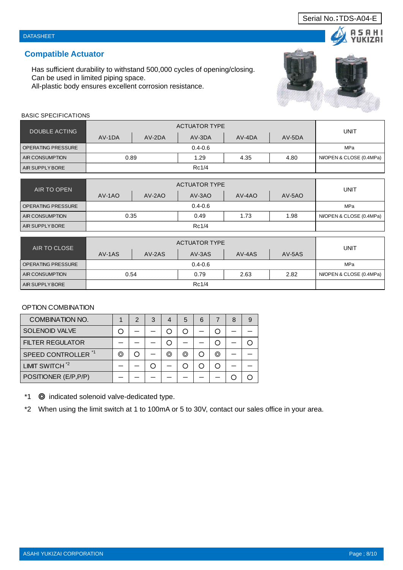ASAHI YUKIZAI CORPORATION Page ; 8/10

## **Compatible Actuator**

BASIC SPECIFICATIONS

DATASHEET

Has sufficient durability to withstand 500,000 cycles of opening/closing. Can be used in limited piping space.

All-plastic body ensures excellent corrosion resistance.

| DOUBLE ACTING             |        | <b>UNIT</b> |             |        |        |                          |
|---------------------------|--------|-------------|-------------|--------|--------|--------------------------|
|                           | AV-1DA | AV-2DA      | AV-3DA      | AV-4DA | AV-5DA |                          |
| <b>OPERATING PRESSURE</b> |        |             | $0.4 - 0.6$ |        |        | MPa                      |
| AIR CONSUMPTION           | 0.89   |             | 1.29        | 4.35   | 4.80   | NI/OPEN & CLOSE (0.4MPa) |
| AIR SUPPLY BORE           |        |             | Rc1/4       |        |        |                          |

| AIR TO OPEN            |          | <b>UNIT</b> |             |        |          |                          |
|------------------------|----------|-------------|-------------|--------|----------|--------------------------|
|                        | $AV-1AO$ | $AV-2AO$    | $AV-3AO$    | AV-4AO | $AV-5AO$ |                          |
| OPERATING PRESSURE     |          |             | $0.4 - 0.6$ |        |          | <b>MPa</b>               |
| <b>AIR CONSUMPTION</b> | 0.35     |             | 0.49        | 1.73   | 1.98     | NI/OPEN & CLOSE (0.4MPa) |
| AIR SUPPLY BORE        |          |             | Rc1/4       |        |          |                          |

| AIR TO CLOSE              |        | <b>UNIT</b> |        |        |        |                          |
|---------------------------|--------|-------------|--------|--------|--------|--------------------------|
|                           | AV-1AS | $AV-2AS$    | AV-3AS | AV-4AS | AV-5AS |                          |
| <b>OPERATING PRESSURE</b> |        | MPa         |        |        |        |                          |
| <b>AIR CONSUMPTION</b>    | 0.54   |             | 0.79   | 2.63   | 2.82   | NI/OPEN & CLOSE (0.4MPa) |
| <b>AIR SUPPLY BORE</b>    |        |             | Rc1/4  |        |        |                          |

## OPTION COMBINATION

| <b>COMBINATION NO.</b>         |    | 2 | 3 |   | 5 | 6 |   | 9 |
|--------------------------------|----|---|---|---|---|---|---|---|
| <b>SOLENOID VALVE</b>          |    |   |   |   |   |   |   |   |
| <b>FILTER REGULATOR</b>        |    |   |   |   |   |   |   |   |
| SPEED CONTROLLER <sup>*1</sup> | O. |   |   | ⊙ | ⊚ |   | ⊚ |   |
| LIMIT SWITCH <sup>*2</sup>     |    |   |   |   |   |   |   |   |
| POSITIONER (E/P, P/P)          |    |   |   |   |   |   |   |   |

\*1 ◎ indicated solenoid valve-dedicated type.

\*2 When using the limit switch at 1 to 100mA or 5 to 30V, contact our sales office in your area.



## Serial No.;TDS-A04-E

SAHI IKIZAI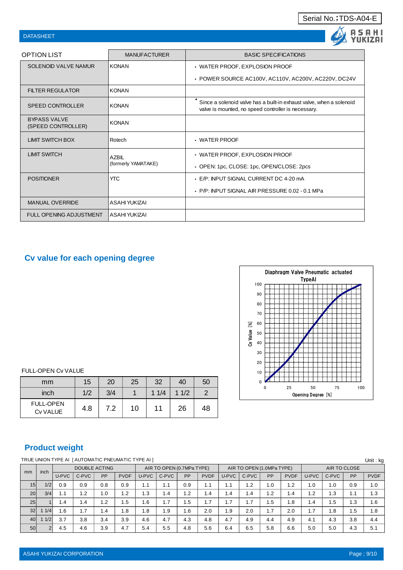| <b>DATASHEET</b>                          |                     |                                                                                                                             |
|-------------------------------------------|---------------------|-----------------------------------------------------------------------------------------------------------------------------|
| <b>OPTION LIST</b>                        | <b>MANUFACTURER</b> | <b>BASIC SPECIFICATIONS</b>                                                                                                 |
| SOLENOID VALVE NAMUR                      | <b>KONAN</b>        | · WATER PROOF, EXPLOSION PROOF                                                                                              |
|                                           |                     | • POWER SOURCE AC100V, AC110V, AC200V, AC220V, DC24V                                                                        |
| <b>FILTER REGULATOR</b>                   | <b>KONAN</b>        |                                                                                                                             |
| <b>SPEED CONTROLLER</b>                   | <b>KONAN</b>        | Since a solenoid valve has a built-in exhaust valve, when a solenoid<br>valve is mounted, no speed controller is necessary. |
| <b>BYPASS VALVE</b><br>(SPEED CONTROLLER) | <b>KONAN</b>        |                                                                                                                             |
| <b>LIMIT SWITCH BOX</b>                   | Rotech              | $\cdot$ WATER PROOF                                                                                                         |
| <b>LIMIT SWITCH</b>                       | <b>AZBIL</b>        | • WATER PROOF, EXPLOSION PROOF                                                                                              |
|                                           | (formerly YAMATAKE) | • OPEN: 1pc, CLOSE: 1pc, OPEN/CLOSE: 2pcs                                                                                   |
| <b>POSITIONER</b>                         | <b>YTC</b>          | . E/P: INPUT SIGNAL CURRENT DC 4-20 mA                                                                                      |
|                                           |                     | • P/P: INPUT SIGNAL AIR PRESSURE 0.02 - 0.1 MPa                                                                             |
| <b>MANUAL OVERRIDE</b>                    | ASAHI YUKIZAI       |                                                                                                                             |
| <b>FULL OPENING ADJUSTMENT</b>            | IASAHI YUKIZAI      |                                                                                                                             |

## **Cv value for each opening degree**



FULL-OPEN Cv VALUE

| mm                           | 15  | 20  | 25 | 32   | 40   | 50 |
|------------------------------|-----|-----|----|------|------|----|
| inch                         | 1/2 | 3/4 |    | 11/4 | 11/2 |    |
| <b>FULL-OPEN</b><br>Cv VALUE | 4.8 | 7.2 | 10 | 11   | 26   | 48 |

## **Product weight**

|                 |     |                      | TRUE UNION TYPE AI   AUTOMATIC PNEUMATIC TYPE AI ] |           |                           |       |       |                           |             |       |                 |              |             |       |       |     | Unit: ka    |
|-----------------|-----|----------------------|----------------------------------------------------|-----------|---------------------------|-------|-------|---------------------------|-------------|-------|-----------------|--------------|-------------|-------|-------|-----|-------------|
| inch            |     | <b>DOUBLE ACTING</b> |                                                    |           | AIR TO OPEN (0.7MPa TYPE) |       |       | AIR TO OPEN (1.0MPa TYPE) |             |       |                 | AIR TO CLOSE |             |       |       |     |             |
| mm              |     | U-PVC                | C-PVC                                              | <b>PP</b> | <b>PVDF</b>               | U-PVC | C-PVC | PP                        | <b>PVDF</b> | U-PVC | C-PVC           | PP           | <b>PVDF</b> | U-PVC | C-PVC | PP  | <b>PVDF</b> |
| 15 <sup>1</sup> | 1/2 | 0.9                  | 0.9                                                | 0.8       | 0.9                       | 1.1   | 1.1   | 0.9                       | 1.1         |       | $\overline{2}$  | 1.0          | 1.2         | 1.0   | 1.0   | 0.9 | 1.0         |
| 20 <sup>1</sup> | 3/4 | 1.1                  | 1.2                                                | 1.0       | 1.2                       | l .3  | 4. ا  | 1.2                       | 1.4         | 1.4   | $\overline{.4}$ | 1.2          | 1.4         | 1.2   | 3. ا  | 1.1 | 1.3         |
| 25 <sup>1</sup> |     | 1.4                  | 1.4                                                | 1.2       | 1.5                       | .6    | 1.7   | 5.،                       | 1.7         | 7     | 1.7             | 1.5          | 1.8         | 1.4   | 1.5   | 1.3 | 1.6         |
| 32 <sub>l</sub> | 1/4 | 1.6                  | 1.7                                                | 1.4       | 1.8                       | .8    | .9    | 1.6                       | 2.0         | i.9   | 2.0             | 1.7          | 2.0         | 1.7   | . 8   | 1.5 | 1.8         |
| 40              | 1/2 | 3.7                  | 3.8                                                | 3.4       | 3.9                       | 4.6   | 4.7   | 4.3                       | 4.8         | 4.7   | 4.9             | 4.4          | 4.9         | 4.1   | 4.3   | 3.8 | 4.4         |
| 50 <sub>l</sub> |     | 4.5                  | 4.6                                                | 3.9       | 4.7                       | 5.4   | 5.5   | 4.8                       | 5.6         | 6.4   | 6.5             | 5.8          | 6.6         | 5.0   | 5.0   | 4.3 | 5.1         |